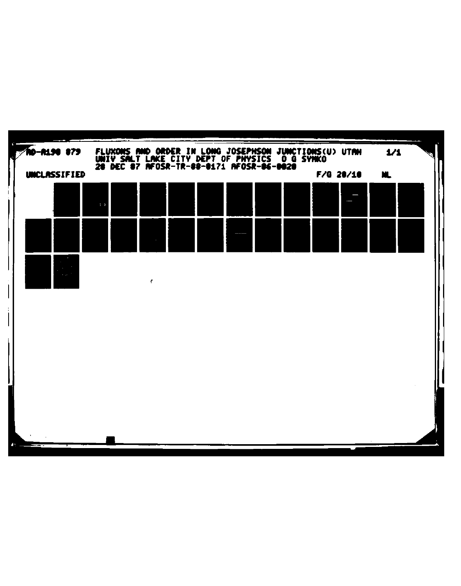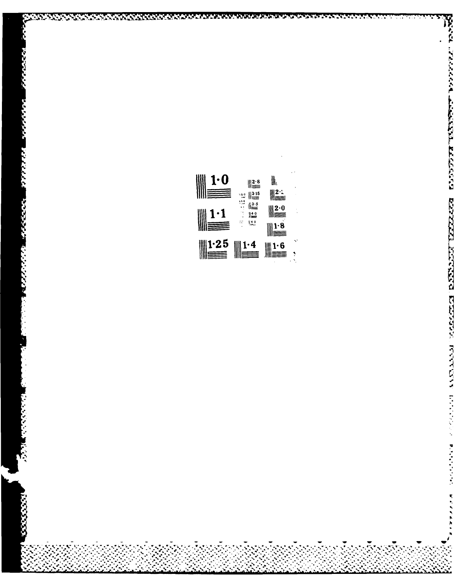

المعاصر والمرارات

والمراد والمرادر

どうこうしょ

**WARDERS** 

大大地

222222

PANN TRANGLARING ERREGEN BERZELT KERZEL KINGER ERREGIN FORTEN FROM FORMA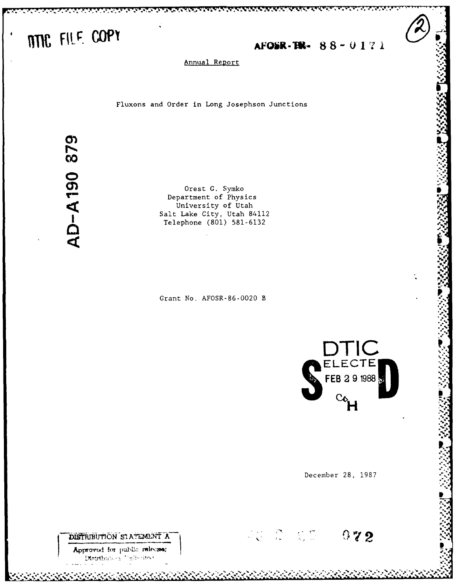# MUC FILE COPY

AFOSR-TR-  $88 - 0171$ 

Annual Report

Fluxons and Order in Long Josephson Junctions

AD-A190 879

Orest G. Symko Department of Physics University of Utah Salt Lake City, Utah 84112 Telephone (801) 581-6132

Grant No. AFOSR-86-0020 B



December 28, 1987

## DISTRIBUTION STATEMENT A

Approved for public relevas; Distribution Uniforting

 $\label{eq:2.1} \begin{array}{l} \mathcal{L}_{\mathcal{A}}(\mathbf{y})=\mathcal{L}_{\mathcal{A}}(\mathbf{y})\\ \mathcal{L}_{\mathcal{A}}(\mathbf{y})=\mathcal{L}_{\mathcal{A}}(\mathbf{y}) \end{array}$  $\frac{1}{2\sqrt{2}}\frac{1}{2\sqrt{2}}$   $0.55$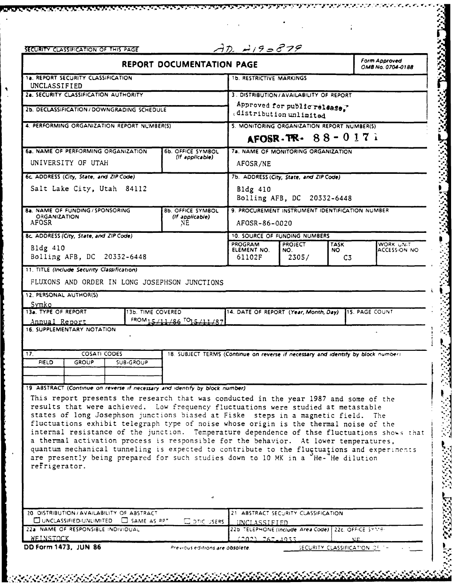$\ddot{\phantom{1}}$ 

**SECURITY CLASSIFICATION OF THIS PAGE** 

**REPORT DOCUMENTATION PAGE 
<br>
POT Approved OMB No. 0704-0188** 

**,.**

| <b>1a. REPORT SECURITY CLASSIFICATION</b>                                                                                                                                                                                                                                                                                                                                                                                                                                                                                                                                                                                                                                                                                                           |                                                                                    |                                                                        |                               |                       |                           |  |  |  |
|-----------------------------------------------------------------------------------------------------------------------------------------------------------------------------------------------------------------------------------------------------------------------------------------------------------------------------------------------------------------------------------------------------------------------------------------------------------------------------------------------------------------------------------------------------------------------------------------------------------------------------------------------------------------------------------------------------------------------------------------------------|------------------------------------------------------------------------------------|------------------------------------------------------------------------|-------------------------------|-----------------------|---------------------------|--|--|--|
| UNCLASSIFIED                                                                                                                                                                                                                                                                                                                                                                                                                                                                                                                                                                                                                                                                                                                                        | <b>1b. RESTRICTIVE MARKINGS</b>                                                    |                                                                        |                               |                       |                           |  |  |  |
| <b>28. SECURITY CLASSIFICATION AUTHORITY</b>                                                                                                                                                                                                                                                                                                                                                                                                                                                                                                                                                                                                                                                                                                        |                                                                                    | 3. DISTRIBUTION / AVAILABILITY OF REPORT                               |                               |                       |                           |  |  |  |
| 2b. DECLASSIFICATION / DOWNGRADING SCHEDULE                                                                                                                                                                                                                                                                                                                                                                                                                                                                                                                                                                                                                                                                                                         |                                                                                    |                                                                        | Approved for public release." |                       |                           |  |  |  |
|                                                                                                                                                                                                                                                                                                                                                                                                                                                                                                                                                                                                                                                                                                                                                     |                                                                                    | distribution unlimited                                                 |                               |                       |                           |  |  |  |
| 4. PERFORMING ORGANIZATION REPORT NUMBER(S)                                                                                                                                                                                                                                                                                                                                                                                                                                                                                                                                                                                                                                                                                                         |                                                                                    | 5. MONITORING ORGANIZATION REPORT NUMBER(S)                            |                               |                       |                           |  |  |  |
|                                                                                                                                                                                                                                                                                                                                                                                                                                                                                                                                                                                                                                                                                                                                                     |                                                                                    | AFOSR-TR- $88 - 0171$                                                  |                               |                       |                           |  |  |  |
| 6a. NAME OF PERFORMING ORGANIZATION                                                                                                                                                                                                                                                                                                                                                                                                                                                                                                                                                                                                                                                                                                                 | <b>6b. OFFICE SYMBOL</b><br>(If applicable)                                        | 7a. NAME OF MONITORING ORGANIZATION                                    |                               |                       |                           |  |  |  |
| UNIVERSITY OF UTAH                                                                                                                                                                                                                                                                                                                                                                                                                                                                                                                                                                                                                                                                                                                                  |                                                                                    | AFOSR/NE                                                               |                               |                       |                           |  |  |  |
| 6c. ADDRESS (City, State, and ZIP Code)                                                                                                                                                                                                                                                                                                                                                                                                                                                                                                                                                                                                                                                                                                             |                                                                                    | 7b. ADDRESS (City, State, and ZIP Code)                                |                               |                       |                           |  |  |  |
| Salt Lake City, Utah 84112                                                                                                                                                                                                                                                                                                                                                                                                                                                                                                                                                                                                                                                                                                                          |                                                                                    | Bldg 410                                                               |                               |                       |                           |  |  |  |
|                                                                                                                                                                                                                                                                                                                                                                                                                                                                                                                                                                                                                                                                                                                                                     |                                                                                    |                                                                        | Bolling AFB, DC 20332-6448    |                       |                           |  |  |  |
| 8a. NAME OF FUNDING / SPONSORING<br><b>ORGANIZATION</b>                                                                                                                                                                                                                                                                                                                                                                                                                                                                                                                                                                                                                                                                                             | 8b. OFFICE SYMBOL                                                                  | 9. PROCUREMENT INSTRUMENT IDENTIFICATION NUMBER                        |                               |                       |                           |  |  |  |
| <b>AFOSR</b>                                                                                                                                                                                                                                                                                                                                                                                                                                                                                                                                                                                                                                                                                                                                        | (If applicable)<br>NE                                                              | AFOSR-86-0020                                                          |                               |                       |                           |  |  |  |
| 8c. ADDRESS (City, State, and ZIP Code)                                                                                                                                                                                                                                                                                                                                                                                                                                                                                                                                                                                                                                                                                                             |                                                                                    | 10. SOURCE OF FUNDING NUMBERS                                          |                               |                       |                           |  |  |  |
| Bldg 410                                                                                                                                                                                                                                                                                                                                                                                                                                                                                                                                                                                                                                                                                                                                            |                                                                                    | PROGRAM<br>ELEMENT NO.                                                 | <b>PROJECT</b>                | <b>TASK</b>           | WORK UNIT<br>ACCESSION NO |  |  |  |
| Bolling AFB, DC 20332-6448                                                                                                                                                                                                                                                                                                                                                                                                                                                                                                                                                                                                                                                                                                                          |                                                                                    | 61102F                                                                 | NO.<br>2305/                  | NO.<br>C <sub>3</sub> |                           |  |  |  |
| 11. TITLE (Include Security Classification)                                                                                                                                                                                                                                                                                                                                                                                                                                                                                                                                                                                                                                                                                                         |                                                                                    |                                                                        |                               |                       |                           |  |  |  |
| FLUXONS AND ORDER IN LONG JOSEPHSON JUNCTIONS                                                                                                                                                                                                                                                                                                                                                                                                                                                                                                                                                                                                                                                                                                       |                                                                                    |                                                                        |                               |                       |                           |  |  |  |
|                                                                                                                                                                                                                                                                                                                                                                                                                                                                                                                                                                                                                                                                                                                                                     |                                                                                    |                                                                        |                               |                       |                           |  |  |  |
| 12. PERSONAL AUTHOR(S)                                                                                                                                                                                                                                                                                                                                                                                                                                                                                                                                                                                                                                                                                                                              |                                                                                    |                                                                        |                               |                       |                           |  |  |  |
|                                                                                                                                                                                                                                                                                                                                                                                                                                                                                                                                                                                                                                                                                                                                                     |                                                                                    |                                                                        |                               |                       |                           |  |  |  |
| Symko<br>13a. TYPE OF REPORT                                                                                                                                                                                                                                                                                                                                                                                                                                                                                                                                                                                                                                                                                                                        | 13b. TIME COVERED                                                                  | 14. DATE OF REPORT (Year, Month, Day)                                  |                               |                       | 15. PAGE COUNT            |  |  |  |
| Annual Report                                                                                                                                                                                                                                                                                                                                                                                                                                                                                                                                                                                                                                                                                                                                       | FROM 15/11/86 TO15/11/87                                                           |                                                                        |                               |                       |                           |  |  |  |
| 16. SUPPLEMENTARY NOTATION                                                                                                                                                                                                                                                                                                                                                                                                                                                                                                                                                                                                                                                                                                                          |                                                                                    |                                                                        |                               |                       |                           |  |  |  |
|                                                                                                                                                                                                                                                                                                                                                                                                                                                                                                                                                                                                                                                                                                                                                     |                                                                                    |                                                                        |                               |                       |                           |  |  |  |
| 17.<br><b>COSATI CODES</b>                                                                                                                                                                                                                                                                                                                                                                                                                                                                                                                                                                                                                                                                                                                          | 18. SUBJECT TERMS (Continue on reverse if necessary and identify by block number). |                                                                        |                               |                       |                           |  |  |  |
| <b>FIELD</b><br><b>GROUP</b><br><b>SUB-GROUP</b>                                                                                                                                                                                                                                                                                                                                                                                                                                                                                                                                                                                                                                                                                                    |                                                                                    |                                                                        |                               |                       |                           |  |  |  |
|                                                                                                                                                                                                                                                                                                                                                                                                                                                                                                                                                                                                                                                                                                                                                     |                                                                                    |                                                                        |                               |                       |                           |  |  |  |
| 19 ABSTRACT (Continue on reverse if necessary and identify by block number)                                                                                                                                                                                                                                                                                                                                                                                                                                                                                                                                                                                                                                                                         |                                                                                    |                                                                        |                               |                       |                           |  |  |  |
| This report presents the research that was conducted in the year 1987 and some of the<br>results that were achieved. Low frequency fluctuations were studied at metastable<br>states of long Josephson junctions biased at Fiske steps in a magnetic field. The<br>fluctuations exhibit telegraph type of noise whose origin is the thermal noise of the<br>internal resistance of the junction. Temperature dependence of thse fluctuations shows that<br>a thermal activation process is responsible for the behavior. At lower temperatures,<br>quantum mechanical tunneling is expected to contribute to the fluctuations and experiments<br>are presently being prepared for such studies down to 10 MK in a "He-"He dilution<br>refrigerator. |                                                                                    |                                                                        |                               |                       |                           |  |  |  |
| 20. DISTRIBUTION / AVAILABILITY OF ABSTRACT<br>UNCLASSIFIED/UNLIMITED USAME AS RPT                                                                                                                                                                                                                                                                                                                                                                                                                                                                                                                                                                                                                                                                  | $\square$ otic users $\parallel$                                                   | 21 ABSTRACT SECURITY CLASSIFICATION<br>UNCLASSIFIED                    |                               |                       |                           |  |  |  |
| 22a NAME OF RESPONSIBLE INDIVIDUAL<br>WEINSTOCK                                                                                                                                                                                                                                                                                                                                                                                                                                                                                                                                                                                                                                                                                                     |                                                                                    | 22b TELEPHONE (Include Area Code) 22c. OFFICE SYNES<br>12021 767-1933. |                               | ME                    |                           |  |  |  |

**, " . . ,- - ,-.,** d **-- \*'1 -- . -- - -, . , . '% " " " " T '** % **" I N**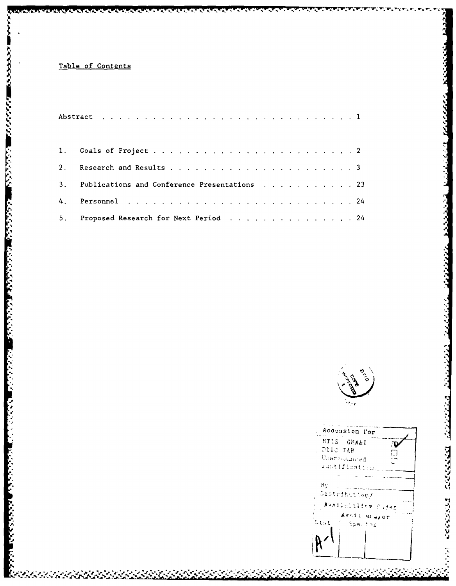æ.

**SUSPENDON CONTRACTOR** 

どうどう しょうかん アイスト アイストライト

XXX

|    | 3. Publications and Conference Presentations 23 |  |  |  |  |  |  |
|----|-------------------------------------------------|--|--|--|--|--|--|
|    |                                                 |  |  |  |  |  |  |
| 5. | Proposed Research for Next Period 24            |  |  |  |  |  |  |



| Accession For      |              |  |
|--------------------|--------------|--|
| NTIS GRA&I         |              |  |
| DIIC TAB           |              |  |
| Unamounced         |              |  |
| Justification      |              |  |
|                    |              |  |
| B۷                 |              |  |
| Distribution/      |              |  |
| Availebility Cuses |              |  |
|                    | Avsil Higger |  |
| Stat               | - Spectru    |  |
|                    |              |  |
|                    |              |  |
|                    |              |  |
|                    |              |  |

**IVING THE DESIGNATION OF A REAL PROPERTY OF A REAL PROPERTY OF A REAL PROPERTY OF A REAL PROPERTY OF A REAL PROPERTY** 

شاد شام شاه شاه آ

به په په په په په په په په

ولادوا المتحدثون والمتحدث

وكالمركب والمراوات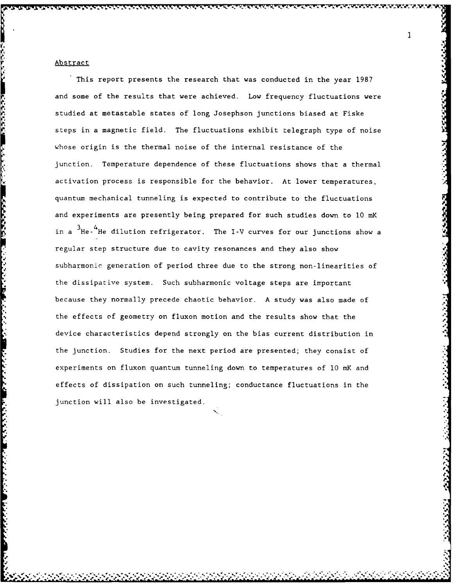$\mathbf{1}$ 

### Abstract

ルート・アクセスのように、その他のことによって、その他のことになっていた。 アクセス・アクセス いっぽん いっぽう いいこう いいこう こうじょう アクセス しょうかい アクセスのうち

This report presents the research that was conducted in the year 1987 and some of the results that were achieved. Low frequency fluctuations were studied at metastable states of long Josephson junctions biased at Fiske steps in a magnetic field. The fluctuations exhibit telegraph type of noise whose origin is the thermal noise of the internal resistance of the junction. Temperature dependence of these fluctuations shows that a thermal activation process is responsible for the behavior. At lower temperatures, quantum mechanical tunneling is expected to contribute to the fluctuations and experiments are presently being prepared for such studies down to **10** mK in a  $3$ He- $4$ He dilution refrigerator. The I-V curves for our junctions show a regular step structure due to cavity resonances and they also show subharmonic generation of period three due to the strong non-linearities of the dissipative system. Such subharmonic voltage steps are important because they normally precede chaotic behavior. A study was also made of the effects of geometry on fluxon motion and the results show that the device characteristics depend strongly on the bias current distribution in the junction. Studies for the next period are presented; they consist of experiments on fluxon quantum tunneling down to temperatures of **10** mK and effects of dissipation on such tunneling; conductance fluctuations in the junction will also be investigated.

.5- **..** ~ -. 5- **S. . .. .. . .... ..** . . . . **....** ...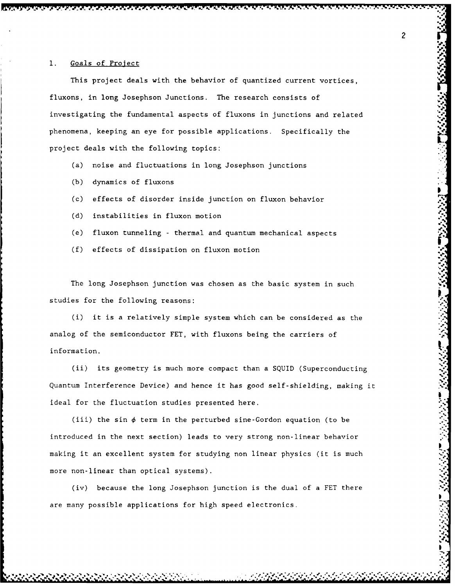# **.4.**

0\*

2

### **1.** Goals of Project

This project deals with the behavior of quantized current vortices, fluxons, in long Josephson Junctions. The research consists of investigating the fundamental aspects of fluxons in junctions and related phenomena, keeping an eye for possible applications. Specifically the project deals with the following topics:

- (a) noise and fluctuations in long Josephson junctions
- (b) dynamics of fluxons
- (c) effects of disorder inside junction on fluxon behavior
- (d) instabilities in fluxon motion
- (e) fluxon tunneling thermal and quantum mechanical aspects
- (f) effects of dissipation on fluxon motion

The long Josephson junction was chosen as the basic system in such studies for the following reasons:

(i) it is a relatively simple system which can be considered as the analog of the semiconductor FET, with fluxons being the carriers of information.

(ii) its geometry is much more compact than a SQUID (Superconducting Quantum Interference Device) and hence it has good self-shielding, making it ideal for the fluctuation studies presented here.

(iii) the sin **0** term in the perturbed sine-Gordon equation (to be introduced in the next section) leads to very strong non-linear behavior making it an excellent system for studying non linear physics (it is much more non-linear than optical systems).

(iv) because the long Josephson junction is the dual of a FET there are many possible applications for high speed electronics.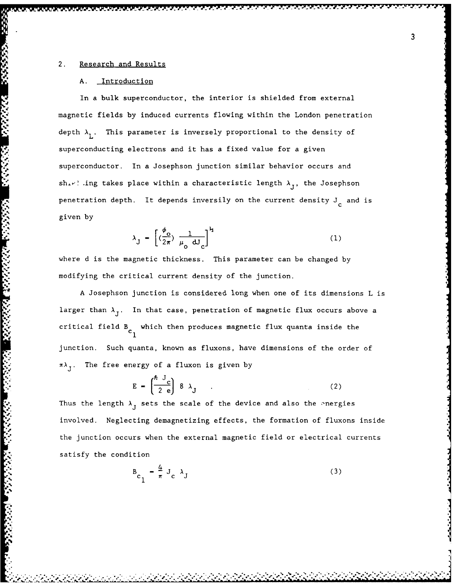### 2. Research and Results

33335

222222223 222223

**BASES COMPANY CONTROLLER** 

### A. Introduction

In a bulk superconductor, the interior is shielded from external magnetic fields by induced currents flowing within the London penetration depth  $\lambda$ <sub>1</sub>. This parameter is inversely proportional to the density of superconducting electrons and it has a fixed value for a given superconductor. In a Josephson junction similar behavior occurs and  $sh_{\lambda}$  .ing takes place within a characteristic length  $\lambda_{\uparrow}$ , the Josephson penetration depth. It depends inversily on the current density  $J_{\alpha}$  and is given by

$$
\lambda_{\mathbf{J}} = \left[ \left( \frac{\phi_{\mathbf{O}}}{2\pi} \right) \frac{1}{\mu_{\mathbf{O}} dJ_{\mathbf{C}}} \right]^{\frac{1}{2}}
$$
 (1)

where d is the magnetic thickness. This parameter can be changed by modifying the critical current density of the junction.

A Josephson junction is considered long when one of its dimensions L is larger than  $\lambda_{\text{I}}$ . In that case, penetration of magnetic flux occurs above a critical field  $B_{c}$ , which then produces magnetic flux quanta inside the junction. Such quanta, known as fluxons, have dimensions of the order of  $\pi\lambda$ <sub>r</sub>. The free energy of a fluxon is given by

$$
E = \left(\frac{\hbar J_c}{2 e}\right) 8 \lambda_J \qquad (2)
$$

Thus the length  $\lambda_{\text{I}}$  sets the scale of the device and also the energies involved. Neglecting demagnetizing effects, the formation of fluxons inside the junction occurs when the external magnetic field or electrical currents satisfy the condition

$$
B_{c_1} = \frac{4}{\pi} J_c \lambda_J
$$
 (3)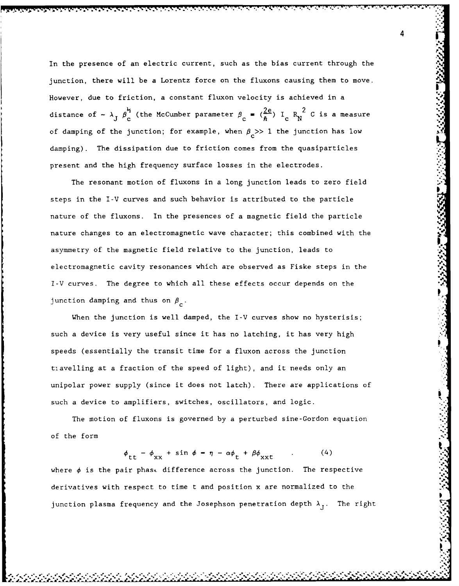In the presence of an electric current, such as the bias current through the junction, there will be a Lorentz force on the fluxons causing them to move. However, due to friction, a constant fluxon velocity is achieved in a distance of  $\sim \lambda_J$   $\beta_c^2$  (the McCumber parameter  $\beta_c = (\frac{2e}{\hbar}) I_c R_N^2$  C is a measure of damping of the junction; for example, when  $\beta$  >> 1 the junction has low damping). The dissipation due to friction comes from the quasiparticles present and the high frequency surface losses in the electrodes.

The resonant motion of fluxons in a long junction leads to zero field  steps in the I-V curves and such behavior is attributed to the particle nature of the fluxons. In the presences of a magnetic field the particle nature changes to an electromagnetic wave character; this combined with the asymmetry of the magnetic field relative to the junction, leads to electromagnetic cavity resonances which are observed as Fiske steps in the I-V curves. The degree to which all these effects occur depends on the junction damping and thus on  $\beta_c$ .

When the junction is well damped, the I-V curves show no hysterisis; such a device is very useful since it has no latching, it has very high speeds (essentially the transit time for a fluxon across the junction tiavelling at a fraction of the speed of light), and it needs only an unipolar power supply (since it does not latch). There are applications of such a device to amplifiers, switches, oscillators, and logic.

The motion of fluxons is governed **by** a perturbed sine-Gordon equation of the form

 $\phi_{\text{tt}} - \phi_{\text{xx}} + \sin \phi - \eta - \alpha \phi_{\text{t}} + \beta \phi_{\text{xxt}}$  . (4)

- **- -** -\*. **. - . . . . . ..** ~ **. \* . % .** C- **%**

where  $\phi$  is the pair phase difference across the junction. The respective derivatives with respect to time t and position x are normalized to the junction plasma frequency and the Josephson penetration depth **Aj.** The right 4

**I**

I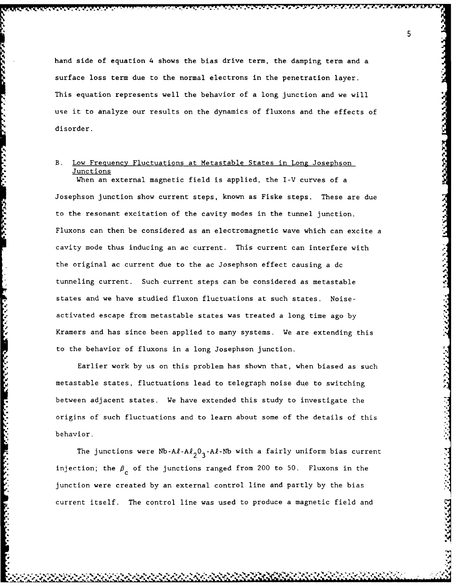hand side of equation 4 shows the bias drive term, the damping term and a surface loss term due to the normal electrons in the penetration layer. This equation represents well the behavior of a long junction and we will use it to analyze our results on the dynamics of fluxons and the effects of disorder.

### B. Low Frequency Fluctuations at Metastable States in Long Josephson Junctions

55

**CARL AND** 

When an external magnetic field is applied, the I-V curves of a Josephson junction show current steps, known as Fiske steps. These are due to the resonant excitation of the cavity modes in the tunnel junction. Fluxons can then be considered as an electromagnetic wave which can excite a cavity mode thus inducing an ac current. This current can interfere with the original ac current due to the ac Josephson effect causing a dc tunneling current. Such current steps can be considered as metastable states and we have studied fluxon fluctuations at such states. Noiseactivated escape from metastable states was treated a long time ago by Kramers and has since been applied to many systems. We are extending this to the behavior of fluxons in a long Josephson junction.

Earlier work by us on this problem has shown that, when biased as such metastable states, fluctuations lead to telegraph noise due to switching between adjacent states. We have extended this study to investigate the origins of such fluctuations and to learn about some of the details of this behavior. \*. states and we have studied riuxon riuctuations at such states. Noise-<br>activated escape from metastable states was treated a long time ago by<br>Kramers and has since been applied to many systems. We are extending thi<br>to th

The junctions were Nb-Al-Al<sub>2</sub>O<sub>3</sub>-Al-Nb with a fairly uniform bias current junction were created by an external control line and partly by the bias current itself. The control line was used to produce a magnetic field and

**%I**

5

**BOOKS SECTION** 

ES 222.23

لدددتنا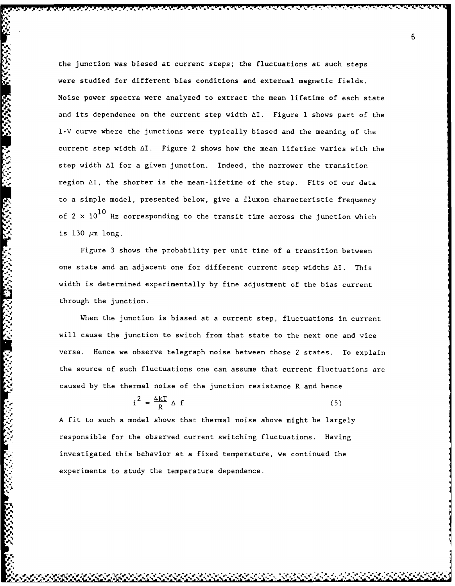the junction was biased at current steps; the fluctuations at such steps were studied for different bias conditions and external magnetic fields. Noise power spectra were analyzed to extract the mean lifetime of each state and its dependence on the current step width AI. Figure **1** shows part of the I-V curve where the junctions were typically biased and the meaning of the current step width  $\Delta I$ . Figure 2 shows how the mean lifetime varies with the step width **Al** for a given junction. Indeed, the narrower the transition region AI, the shorter is the mean-lifetime of the step. Fits of our data to a simple model, presented below, give a fluxon characteristic frequency of  $2 \times 10^{10}$  Hz corresponding to the transit time across the junction which is  $130 \mu m$  long.

SUSSESSING SECTION AND SUSSESSING

Figure 3 shows the probability per unit time of a transition between one state and an adjacent one for different current step widths  $\Delta I$ . This width is determined experimentally by fine adjustment of the bias current through the junction.

When the junction is biased at a current step, fluctuations in current will cause the junction to switch from that state to the next one and vice versa. Hence we observe telegraph noise between those 2 states. To explain the source of such fluctuations one can assume that current fluctuations are caused by the thermal noise of the junction resistance R and hence

$$
i^2 - \frac{4kT}{R} \Delta f \tag{5}
$$

A fit to such a model shows that thermal noise above might be largely responsible for the observed current switching fluctuations. Having investigated this behavior at a fixed temperature, we continued the experiments to study the temperature dependence.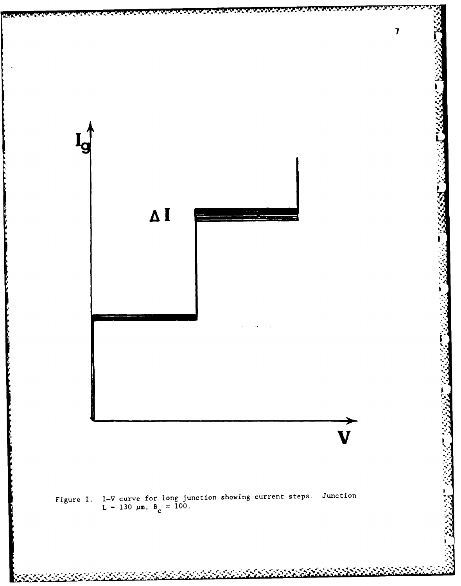

Figure 1. 1-V curve for long junction showing current steps. Junction<br>L = 130  $\mu$ m, B<sub>c</sub> = 100.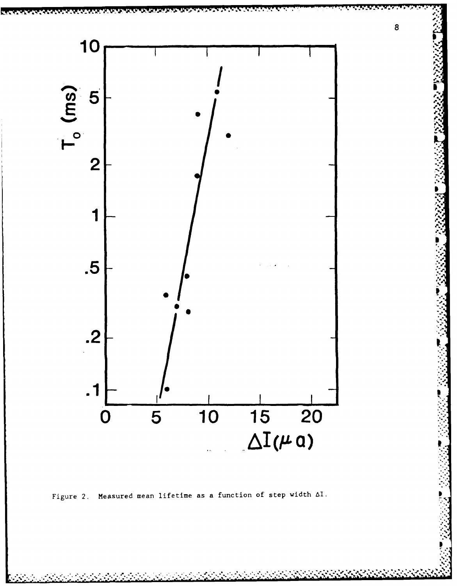

Figure 2. Measured mean lifetime as a function of step width  $\Delta I$ .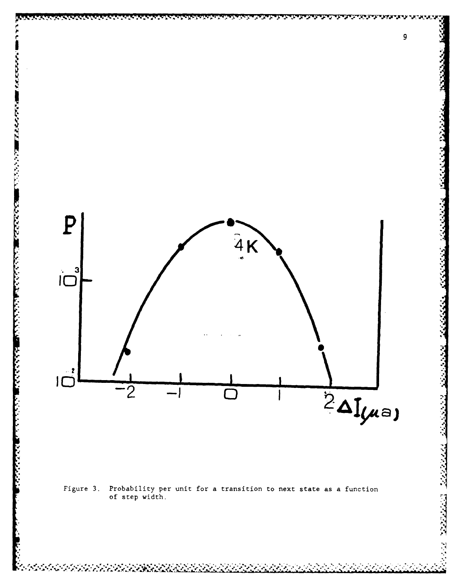

Figure 3. Probability per unit for a transition to next state as a function of step width.

 $\mathcal{L} \rightarrow \mathcal{L}$ 

V.W.

AS C .<br>م ٠

 $\frac{1}{2}$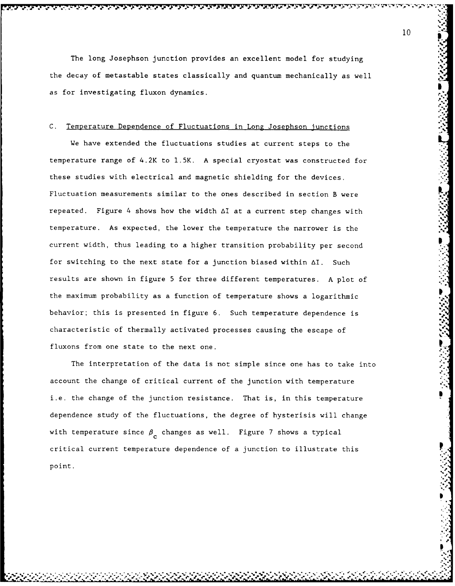The long Josephson junction provides an excellent model for studying the decay of metastable states classically and quantum mechanically as well as for investigating fluxon dynamics.

### **C.** Temperature Dependence of Fluctuations in Long Josephson junctions

We have extended the fluctuations studies at current steps to the temperature range of 4.2K to 1.5K. **A** special cryostat was constructed for these studies with electrical and magnetic shielding for the devices. Fluctuation measurements similar to the ones described in section B were repeated. Figure 4 shows how the width **AI** at a current step changes with temperature. As expected, the lower the temperature the narrower is the current width, thus leading to a higher transition probability per second for switching to the next state for a junction biased within **AI.** Such results are shown in figure **5** for three different temperatures. **A** plot of the maximum probability as a function of temperature shows a logarithmic behavior; this is presented in figure **6.** Such temperature dependence is characteristic of thermally activated processes causing the escape of fluxons from one state to the next one.

The interpretation of the data is not simple since one has to take into account the change of critical current of the junction with temperature i.e. the change of the junction resistance. That is, in this temperature dependence study of the fluctuations, the degree of hysterisis will change with temperature since  $\beta_c$  changes as well. Figure 7 shows a typical critical current temperature dependence of a junction to illustrate this point.

**I**

 $\blacksquare$ 

...- %~' %. % ~ ~ \ ~ . . . . . . **.°**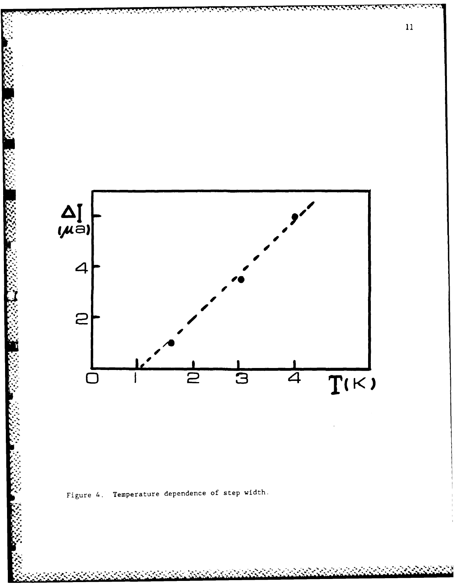

Figure 4. Temperature dependence of step width.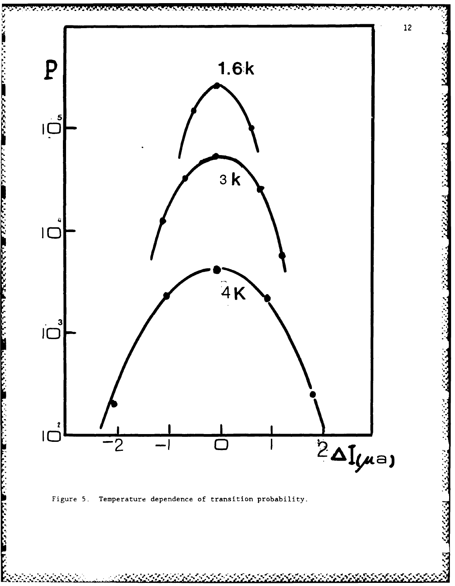

Figure 5. Temperature dependence of transition probability.

 $\mathcal{L}(\mathcal{L})$ 

المواردا

なんないというのかないのですが、そのように、このように、このように、このように、このように、このように、このように、このように、このように、このように、このように、このように、このように、このように、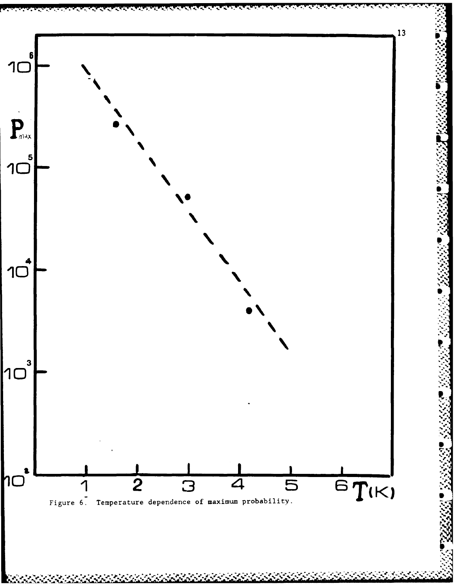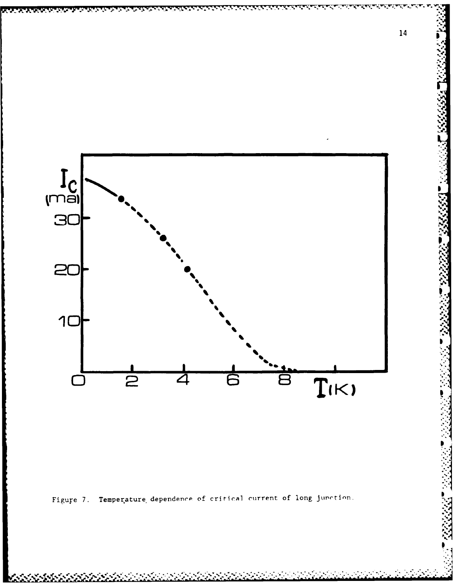

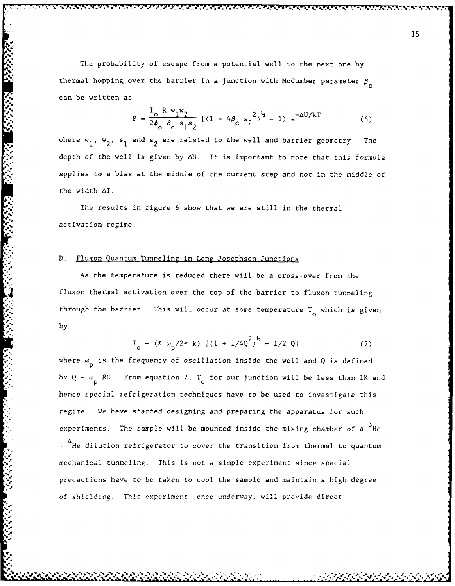The probability of escape from a potential well to the next one by thermal hopping over the barrier in a junction with McCumber parameter  $\beta$ can be written as

$$
P = \frac{I_0 R w_1 w_2}{2\phi_0 \ \beta_c s_1 s_2} [(1 + 4\beta_c s_2^2)^{k_2} - 1) e^{-\Delta U / kT}
$$
 (6)

where  $w_1$ ,  $w_2$ ,  $s_1$  and  $s_2$  are related to the well and barrier geometry. The depth of the well is given by **U.** It is important to note that this formula applies to a bias at the middle of the current step and not in the middle of the width **Al.**

The results in figure 6 show that we are still in the thermal activation regime.

### D. Fluxon Quantum Tunneling in Long Josephson Junctions

**. N 5-**

As the temperature is reduced there will be a cross-over from the fluxon thermal activation over the top of the barrier to fluxon tunneling through the barrier. This will occur at some temperature T<sub>o</sub> which is given by

$$
T_o = (\hbar \omega_p / 2\pi k) \left[ (1 + 1/4Q^2)^{1/2} - 1/2 Q \right] \tag{7}
$$

where  $\omega_{\bf p}^{\phantom{\dagger}}$  is the frequency of oscillation inside the well and Q is defined by  $Q = \omega_p$  RC. From equation 7, T<sub>o</sub> for our junction will be less than 1K and hence special refrigeration techniques have to be used to investigate this regime. We have started designing and preparing the apparatus for such **<sup>3</sup>** experiments. The sample will be mounted inside the mixing chamber of a He  $\overline{\phantom{a}}$ He dilution refrigerator to cover the transition from thermal to quantum mechanical tunneling. This is not a simple experiment since special precautions have to be taken to cool the sample and maintain a high degree of shielding. This experiment, once underway, will provide direct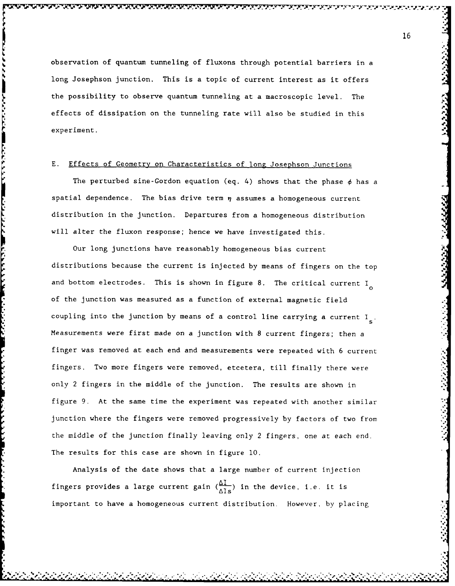observation of quantum tunneling of fluxons through potential barriers in a long Josephson junction. This is a topic of current interest as it offers the possibility to observe quantum tunneling at a macroscopic level. The effects of dissipation on the tunneling rate will also be studied in this experiment.

### E. Effects of Geometry on Characteristics of long Josephson Junctions

The perturbed sine-Gordon equation (eq. 4) shows that the phase **0** has a spatial dependence. The bias drive term  $\eta$  assumes a homogeneous current distribution in the junction. Departures from a homogeneous distribution will alter the fluxon response; hence we have investigated this.

Our long junctions have reasonably homogeneous bias current distributions because the current is injected by means of fingers on the top and bottom electrodes. This is shown in figure 8. The critical current  $I_{\alpha}$ of the junction was measured as a function of external magnetic field coupling into the junction by means of a control line carrying a current  $I_{\rho}$ . Measurements were first made on a junction with 8 current fingers; then a finger was removed at each end and measurements were repeated with 6 current fingers. Two more fingers were removed, etcetera, till finally there were only 2 fingers in the middle of the junction. The results are shown in figure 9. At the same time the experiment was repeated with another similar junction where the fingers were removed progressively by factors of two from the middle of the junction finally leaving only 2 fingers, one at each end. The results for this case are shown in figure 10.

Analysis of the date shows that a large number of current injection fingers provides a large current gain  $(\frac{\Delta I}{\Delta Is})$  in the device, i.e. it is important to have a homogeneous current distribution. However, by placing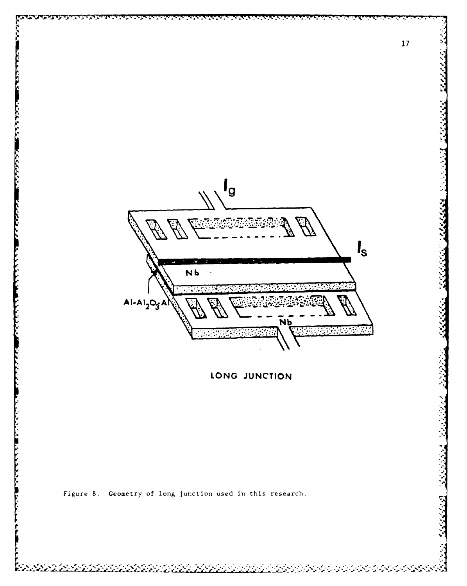



Ŀ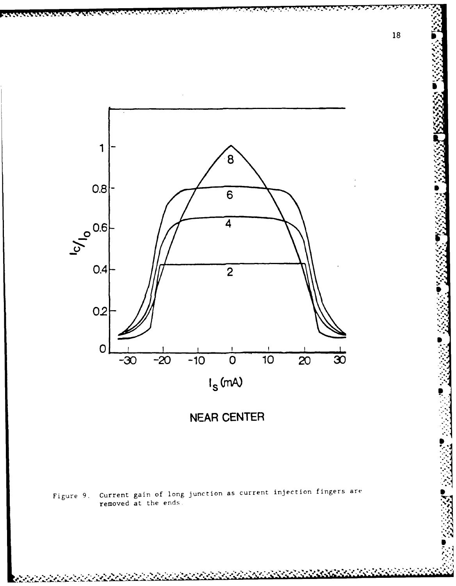



Figure 9. Current gain of long junction as current injection fingers are removed at the ends.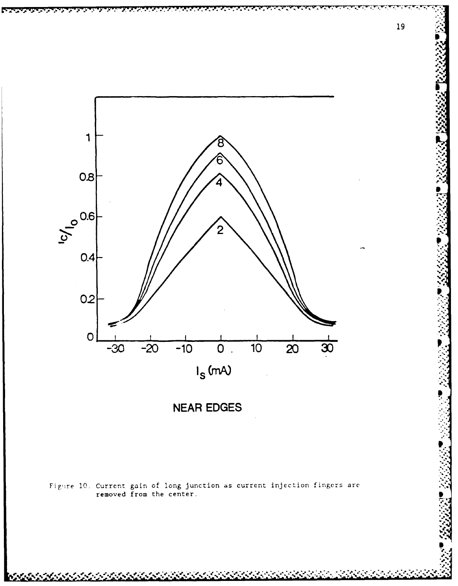

# **NEAR EDGES**

Figure 10. Current gain of long junction as current injection fingers are removed from the center.

こくこくこく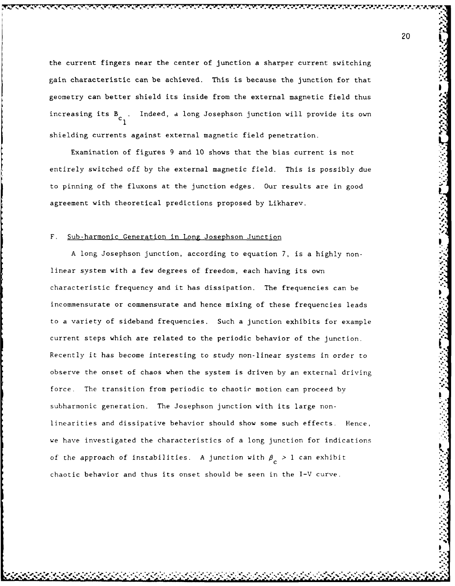the current fingers near the center of junction a sharper current switching gain characteristic can be achieved. This is because the junction for that geometry can better shield its inside from the external magnetic field thus increasing its B<sub>C</sub>. Indeed, a long Josephson junction will provide its own shielding currents against external magnetic field penetration.

Examination of figures 9 and **10** shows that the bias current is not entirely switched off by the external magnetic field. This is possibly due to pinning of the fluxons at the junction edges. Our results are in good agreement with theoretical predictions proposed by Likharev.

### F. Sub-harmonic Generation in Long Josephson Junction

A long Josephson junction, according to equation 7, is a highly nonlinear system with a few degrees of freedom, each having its own characteristic frequency and it has dissipation. The frequencies can be incommensurate or commensurate and hence mixing of these frequencies leads to a variety of sideband frequencies. Such a junction exhibits for example current steps which are related to the periodic behavior of the junction. Recently it has become interesting to study non-linear systems in order to observe the onset of chaos when the system is driven by an external driving force. The transition from periodic to chaotic motion can proceed by subharmonic generation. The Josephson junction with its large nonlinearities and dissipative behavior should show some such effects. Hence, we have investigated the characteristics of a long junction for indications of the approach of instabilities. A junction with  $\beta_c > 1$  can exhibit chaotic behavior and thus its onset should be seen in the I-V curve.

f S -'2. 'Z " ¢j~ £#'-' .'..'. e. £ ..j '- j "...'.' .. .' ' . .' .' " -'" ..'. - "." ' - "" ' ' '-i **."**

S,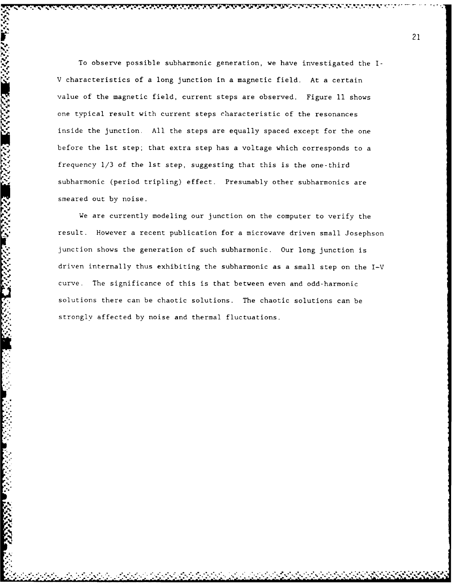To observe possible subharmonic generation, we have investigated the I-V characteristics of a long junction in a magnetic field. At a certain value of the magnetic field, current steps are observed. Figure **11** shows one typical result with current steps characteristic of the resonances inside the junction. All the steps are equally spaced except for the one before the 1st step; that extra step has a voltage which corresponds to a frequency 1/3 of the 1st step, suggesting that this is the one-third subharmonic (period tripling) effect. Presumably other subharmonics are smeared out by noise.

We are currently modeling our junction on the computer to verify the result. However a recent publication for a microwave driven small Josephson junction shows the generation of such subharmonic. Our long junction is driven internally thus exhibiting the subharmonic as a small step on the I-V curve. The significance of this is that between even and odd-harmonic solutions there can be chaotic solutions. The chaotic solutions can be strongly affected by noise and thermal fluctuations.

**1. AZ**

A CONTRACTOR CONTRACTOR AND CONTRACTOR CONTRACTOR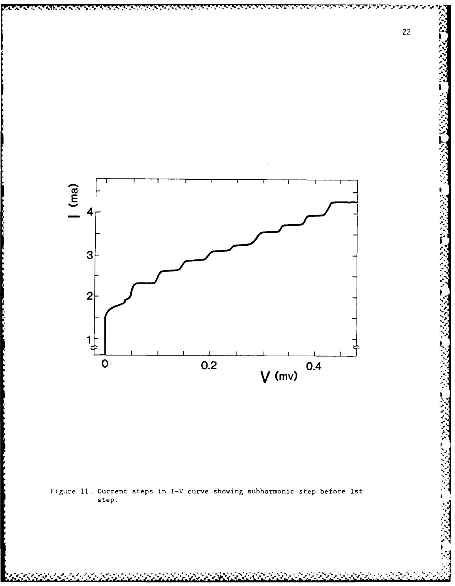



فالمتواطئ والمتوارث والمتواطئ والمتعاطف والمتواطئ والمتواطئ

 $\mathcal{L}$ 

MAGA 2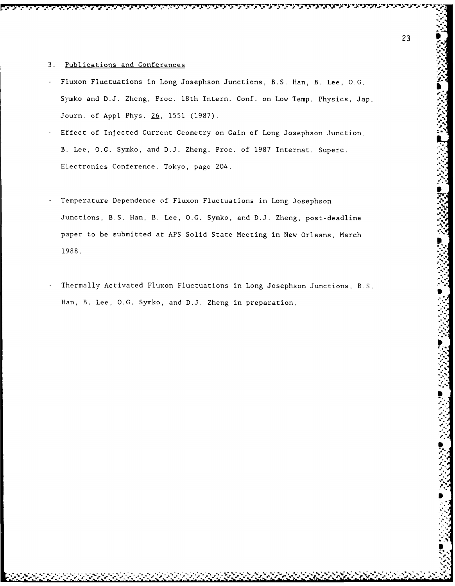# **23**

**f..**

*-e*

**S",**

**S"**

**°** ..

### **3.** Publications and Conferences

- Fluxon Fluctuations in Long Josephson Junctions, B.S. Han, B. Lee, **O.G. i** Symko and **D.J.** Zheng, Proc. 18th Intern. Conf. on Low Temp. Physics, Jap. Journ. of **Appl** Phys. **26,** 1551 (1987).
- Effect of Injected Current Geometry on Gain of Long Josephson Junction. B. Lee, **O.G.** Symko, and **D.J.** Zheng, Proc. of **1987** Internat. Superc. Electronics Conference. Tokyo, page 204.
- Temperature Dependence of Fluxon Fluctuations in Long Josephson Junctions, B.S. Han, B. Lee, **O.G.** Symko, and **D.J.** Zheng, post-deadline paper to be submitted at **APS** Solid State Meeting in New Orleans, March **1988.**
- Thermally Activated Fluxon Fluctuations in Long Josephson Junctions, B.S. Han, B. Lee, **O.G.** Symko, and **D.J.** Zheng in preparation.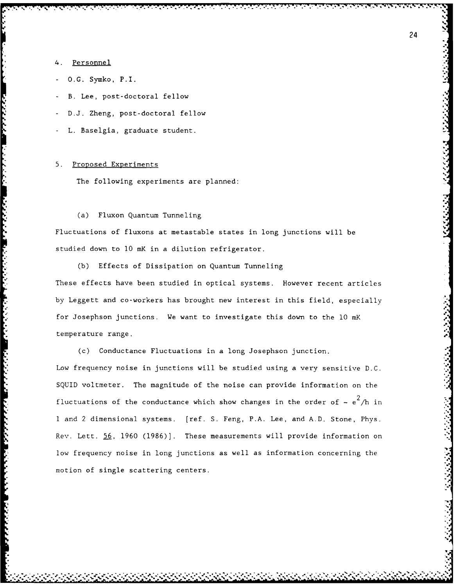### 4. Personnel

the contract of the contract of the contract of the contract of the contract of the contract of the contract of the contract of the contract of the contract of the contract of the contract of the contract of the contract o

**AND AND AND AND ARTICIPALIAN** 

- **-** .G. Symko, P.I.
- **-** B. Lee, post-doctoral fellow
- **-** D.J. Zheng, post-doctoral fellow
- **-** L. Baselgia, graduate student.

### 5. Proposed Experiments

The following experiments are planned:

(a) Fluxon Quantum Tunneling Fluctuations of fluxons at metastable states in long junctions will be studied down to **10** mK in a dilution refrigerator.

(b) Effects of Dissipation on Quantum Tunneling These effects have been studied in optical systems. However recent articles by Leggett and co-workers has brought new interest in this field, especially for Josephson junctions. We want to investigate this down to the **10** mK temperature range.

(c) Conductance Fluctuations in a long Josephson junction.

Low frequency noise in junctions will be studied using a very sensitive D.C. SQUID voltmeter. The magnitude of the noise can provide information on the fluctuations of the conductance which show changes in the order of  $\sim e^2/h$  in 1 and 2 dimensional systems. [ref. S. Feng, P.A. Lee, and A.D. Stone, Phys. Rev. Lett. **56,** 1960 (1986)]. These measurements will provide information on low frequency noise in long junctions as well as information concerning the motion of single scattering centers.

**%.** L--- L